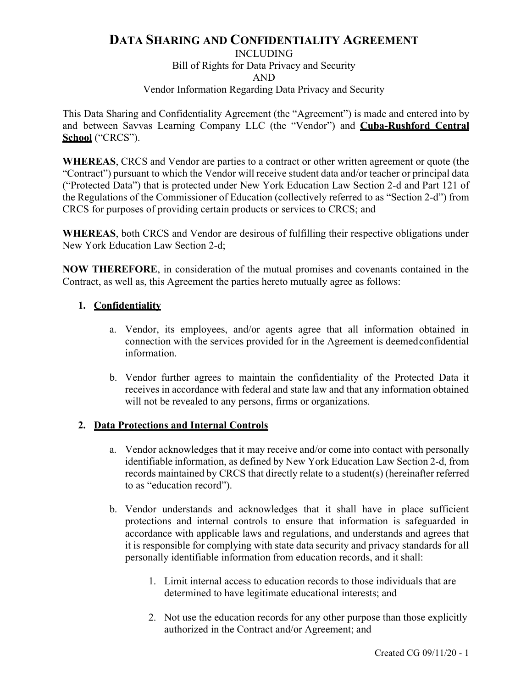# **DATA SHARING AND CONFIDENTIALITY AGREEMENT**

INCLUDING

Bill of Rights for Data Privacy and Security AND Vendor Information Regarding Data Privacy and Security

This Data Sharing and Confidentiality Agreement (the "Agreement") is made and entered into by and between Savvas Learning Company LLC (the "Vendor") and **Cuba-Rushford Central School** ("CRCS").

**WHEREAS**, CRCS and Vendor are parties to a contract or other written agreement or quote (the "Contract") pursuant to which the Vendor will receive student data and/or teacher or principal data ("Protected Data") that is protected under New York Education Law Section 2-d and Part 121 of the Regulations of the Commissioner of Education (collectively referred to as "Section 2-d") from CRCS for purposes of providing certain products or services to CRCS; and

**WHEREAS**, both CRCS and Vendor are desirous of fulfilling their respective obligations under New York Education Law Section 2-d;

**NOW THEREFORE**, in consideration of the mutual promises and covenants contained in the Contract, as well as, this Agreement the parties hereto mutually agree as follows:

## **1. Confidentiality**

- a. Vendor, its employees, and/or agents agree that all information obtained in connection with the services provided for in the Agreement is deemedconfidential information.
- b. Vendor further agrees to maintain the confidentiality of the Protected Data it receives in accordance with federal and state law and that any information obtained will not be revealed to any persons, firms or organizations.

## **2. Data Protections and Internal Controls**

- a. Vendor acknowledges that it may receive and/or come into contact with personally identifiable information, as defined by New York Education Law Section 2-d, from records maintained by CRCS that directly relate to a student(s) (hereinafter referred to as "education record").
- b. Vendor understands and acknowledges that it shall have in place sufficient protections and internal controls to ensure that information is safeguarded in accordance with applicable laws and regulations, and understands and agrees that it is responsible for complying with state data security and privacy standards for all personally identifiable information from education records, and it shall:
	- 1. Limit internal access to education records to those individuals that are determined to have legitimate educational interests; and
	- 2. Not use the education records for any other purpose than those explicitly authorized in the Contract and/or Agreement; and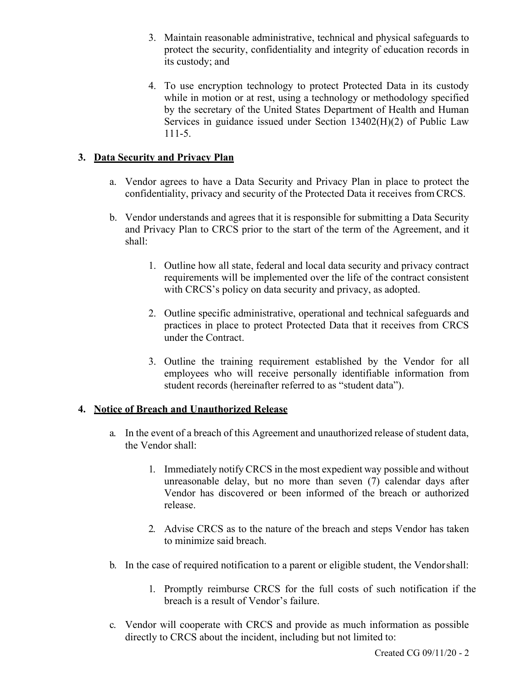- 3. Maintain reasonable administrative, technical and physical safeguards to protect the security, confidentiality and integrity of education records in its custody; and
- 4. To use encryption technology to protect Protected Data in its custody while in motion or at rest, using a technology or methodology specified by the secretary of the United States Department of Health and Human Services in guidance issued under Section 13402(H)(2) of Public Law 111-5.

## **3. Data Security and Privacy Plan**

- a. Vendor agrees to have a Data Security and Privacy Plan in place to protect the confidentiality, privacy and security of the Protected Data it receives from CRCS.
- b. Vendor understands and agrees that it is responsible for submitting a Data Security and Privacy Plan to CRCS prior to the start of the term of the Agreement, and it shall:
	- 1. Outline how all state, federal and local data security and privacy contract requirements will be implemented over the life of the contract consistent with CRCS's policy on data security and privacy, as adopted.
	- 2. Outline specific administrative, operational and technical safeguards and practices in place to protect Protected Data that it receives from CRCS under the Contract.
	- 3. Outline the training requirement established by the Vendor for all employees who will receive personally identifiable information from student records (hereinafter referred to as "student data").

## **4. Notice of Breach and Unauthorized Release**

- a. In the event of a breach of this Agreement and unauthorized release of student data, the Vendor shall:
	- 1. Immediately notify CRCS in the most expedient way possible and without unreasonable delay, but no more than seven (7) calendar days after Vendor has discovered or been informed of the breach or authorized release.
	- 2. Advise CRCS as to the nature of the breach and steps Vendor has taken to minimize said breach.
- b. In the case of required notification to a parent or eligible student, the Vendorshall:
	- 1. Promptly reimburse CRCS for the full costs of such notification if the breach is a result of Vendor's failure.
- c. Vendor will cooperate with CRCS and provide as much information as possible directly to CRCS about the incident, including but not limited to: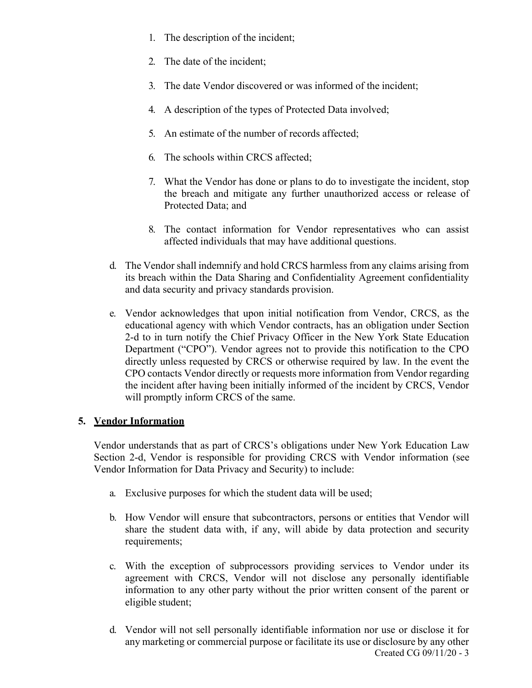- 1. The description of the incident;
- 2. The date of the incident;
- 3. The date Vendor discovered or was informed of the incident;
- 4. A description of the types of Protected Data involved;
- 5. An estimate of the number of records affected;
- 6. The schools within CRCS affected;
- 7. What the Vendor has done or plans to do to investigate the incident, stop the breach and mitigate any further unauthorized access or release of Protected Data; and
- 8. The contact information for Vendor representatives who can assist affected individuals that may have additional questions.
- d. The Vendor shall indemnify and hold CRCS harmless from any claims arising from its breach within the Data Sharing and Confidentiality Agreement confidentiality and data security and privacy standards provision.
- e. Vendor acknowledges that upon initial notification from Vendor, CRCS, as the educational agency with which Vendor contracts, has an obligation under Section 2-d to in turn notify the Chief Privacy Officer in the New York State Education Department ("CPO"). Vendor agrees not to provide this notification to the CPO directly unless requested by CRCS or otherwise required by law. In the event the CPO contacts Vendor directly or requests more information from Vendor regarding the incident after having been initially informed of the incident by CRCS, Vendor will promptly inform CRCS of the same.

## **5. Vendor Information**

Vendor understands that as part of CRCS's obligations under New York Education Law Section 2-d, Vendor is responsible for providing CRCS with Vendor information (see Vendor Information for Data Privacy and Security) to include:

- a. Exclusive purposes for which the student data will be used;
- b. How Vendor will ensure that subcontractors, persons or entities that Vendor will share the student data with, if any, will abide by data protection and security requirements;
- c. With the exception of subprocessors providing services to Vendor under its agreement with CRCS, Vendor will not disclose any personally identifiable information to any other party without the prior written consent of the parent or eligible student;
- Created CG 09/11/20 3 d. Vendor will not sell personally identifiable information nor use or disclose it for any marketing or commercial purpose or facilitate its use or disclosure by any other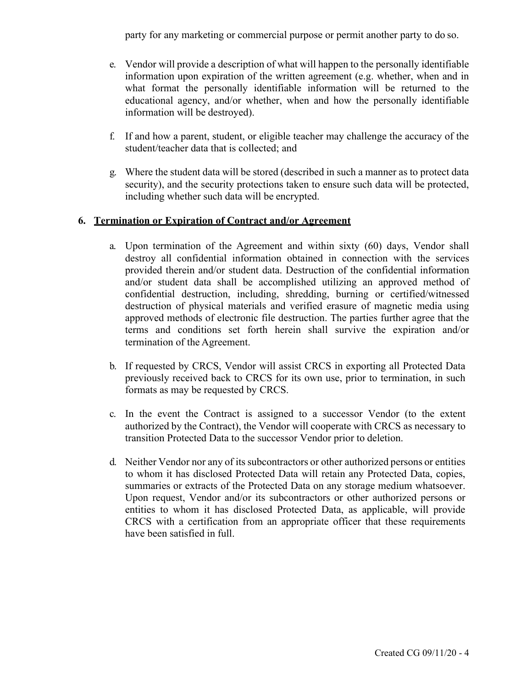party for any marketing or commercial purpose or permit another party to do so.

- e. Vendor will provide a description of what will happen to the personally identifiable information upon expiration of the written agreement (e.g. whether, when and in what format the personally identifiable information will be returned to the educational agency, and/or whether, when and how the personally identifiable information will be destroyed).
- f. If and how a parent, student, or eligible teacher may challenge the accuracy of the student/teacher data that is collected; and
- g. Where the student data will be stored (described in such a manner as to protect data security), and the security protections taken to ensure such data will be protected, including whether such data will be encrypted.

## **6. Termination or Expiration of Contract and/or Agreement**

- a. Upon termination of the Agreement and within sixty (60) days, Vendor shall destroy all confidential information obtained in connection with the services provided therein and/or student data. Destruction of the confidential information and/or student data shall be accomplished utilizing an approved method of confidential destruction, including, shredding, burning or certified/witnessed destruction of physical materials and verified erasure of magnetic media using approved methods of electronic file destruction. The parties further agree that the terms and conditions set forth herein shall survive the expiration and/or termination of the Agreement.
- b. If requested by CRCS, Vendor will assist CRCS in exporting all Protected Data previously received back to CRCS for its own use, prior to termination, in such formats as may be requested by CRCS.
- c. In the event the Contract is assigned to a successor Vendor (to the extent authorized by the Contract), the Vendor will cooperate with CRCS as necessary to transition Protected Data to the successor Vendor prior to deletion.
- d. Neither Vendor nor any of itssubcontractors or other authorized persons or entities to whom it has disclosed Protected Data will retain any Protected Data, copies, summaries or extracts of the Protected Data on any storage medium whatsoever. Upon request, Vendor and/or its subcontractors or other authorized persons or entities to whom it has disclosed Protected Data, as applicable, will provide CRCS with a certification from an appropriate officer that these requirements have been satisfied in full.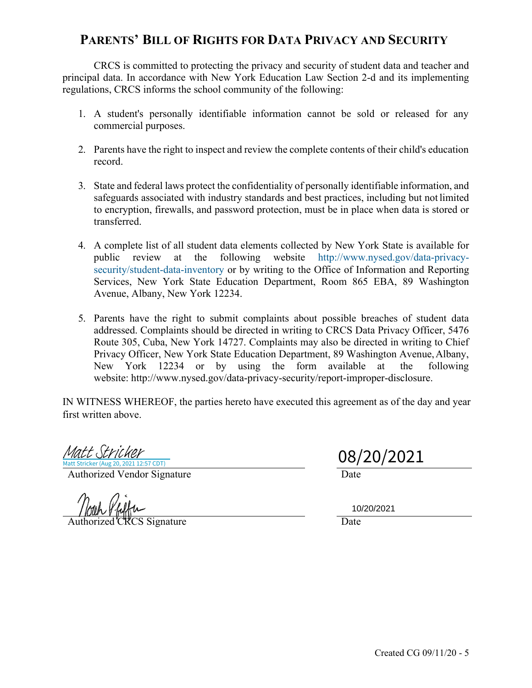# **PARENTS' BILL OF RIGHTS FOR DATA PRIVACY AND SECURITY**

CRCS is committed to protecting the privacy and security of student data and teacher and principal data. In accordance with New York Education Law Section 2-d and its implementing regulations, CRCS informs the school community of the following:

- 1. A student's personally identifiable information cannot be sold or released for any commercial purposes.
- 2. Parents have the right to inspect and review the complete contents of their child's education record.
- 3. State and federal laws protect the confidentiality of personally identifiable information, and safeguards associated with industry standards and best practices, including but not limited to encryption, firewalls, and password protection, must be in place when data is stored or transferred.
- 4. A complete list of all student data elements collected by New York State is available for public review at the following website [http://www.nysed.gov/data-privacy](http://www.nysed.gov/data-privacy-security/student-data-inventory)[security/student-data-inventory o](http://www.nysed.gov/data-privacy-security/student-data-inventory)r by writing to the Office of Information and Reporting Services, New York State Education Department, Room 865 EBA, 89 Washington Avenue, Albany, New York 12234.
- 5. Parents have the right to submit complaints about possible breaches of student data addressed. Complaints should be directed in writing to CRCS Data Privacy Officer, 5476 Route 305, Cuba, New York 14727. Complaints may also be directed in writing to Chief Privacy Officer, New York State Education Department, 89 Washington Avenue, Albany, New York 12234 or by using the form available at the following website: [http://www.nysed.gov/data-privacy-security/report-improper-disclosure.](http://www.nysed.gov/data-privacy-security/report-improper-disclosure)

IN WITNESS WHEREOF, the parties hereto have executed this agreement as of the day and year first written above.

Ig 20, 2021 12:57 CDT) [Matt Stricker](https://savvas.na2.documents.adobe.com/verifier?tx=CBJCHBCAABAAKeAW2VyjyqPoluDNRUykRLKuXTBs7iW7)

Authorized Vendor Signature Date

Signature Date

/2021

10/20/2021